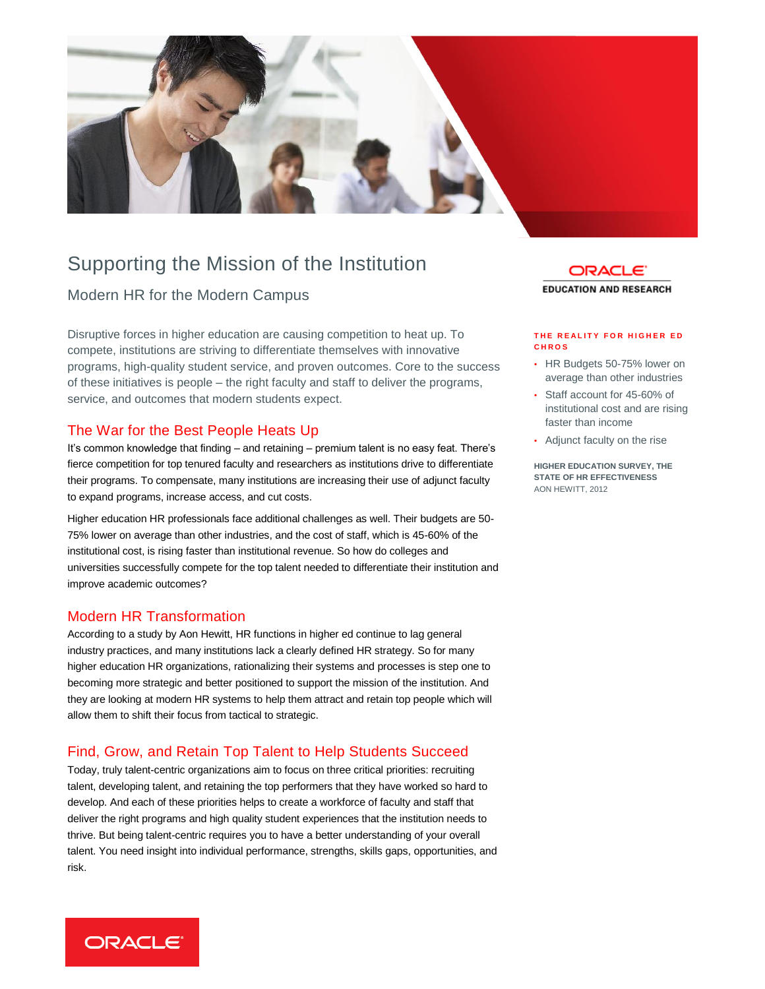

## Supporting the Mission of the Institution

## Modern HR for the Modern Campus

Disruptive forces in higher education are causing competition to heat up. To compete, institutions are striving to differentiate themselves with innovative programs, high-quality student service, and proven outcomes. Core to the success of these initiatives is people – the right faculty and staff to deliver the programs, service, and outcomes that modern students expect.

### The War for the Best People Heats Up

It's common knowledge that finding – and retaining – premium talent is no easy feat. There's fierce competition for top tenured faculty and researchers as institutions drive to differentiate their programs. To compensate, many institutions are increasing their use of adjunct faculty to expand programs, increase access, and cut costs.

Higher education HR professionals face additional challenges as well. Their budgets are 50- 75% lower on average than other industries, and the cost of staff, which is 45-60% of the institutional cost, is rising faster than institutional revenue. So how do colleges and universities successfully compete for the top talent needed to differentiate their institution and improve academic outcomes?

#### Modern HR Transformation

According to a study by Aon Hewitt, HR functions in higher ed continue to lag general industry practices, and many institutions lack a clearly defined HR strategy. So for many higher education HR organizations, rationalizing their systems and processes is step one to becoming more strategic and better positioned to support the mission of the institution. And they are looking at modern HR systems to help them attract and retain top people which will allow them to shift their focus from tactical to strategic.

### Find, Grow, and Retain Top Talent to Help Students Succeed

Today, truly talent-centric organizations aim to focus on three critical priorities: recruiting talent, developing talent, and retaining the top performers that they have worked so hard to develop. And each of these priorities helps to create a workforce of faculty and staff that deliver the right programs and high quality student experiences that the institution needs to thrive. But being talent-centric requires you to have a better understanding of your overall talent. You need insight into individual performance, strengths, skills gaps, opportunities, and risk.



#### **T H E R E A L I T Y F O R H I G H E R E D C H R O S**

- HR Budgets 50-75% lower on average than other industries
- Staff account for 45-60% of institutional cost and are rising faster than income
- Adjunct faculty on the rise

**HIGHER EDUCATION SURVEY, THE STATE OF HR EFFECTIVENESS** AON HEWITT, 2012